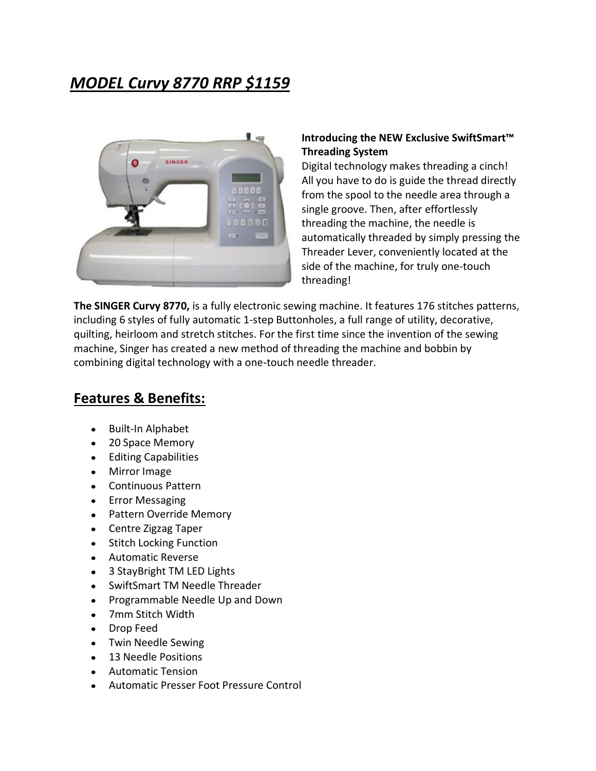## *MODEL Curvy 8770 RRP \$1159*



## **Introducing the NEW Exclusive SwiftSmart™ Threading System**

Digital technology makes threading a cinch! All you have to do is guide the thread directly from the spool to the needle area through a single groove. Then, after effortlessly threading the machine, the needle is automatically threaded by simply pressing the Threader Lever, conveniently located at the side of the machine, for truly one-touch threading!

**The SINGER Curvy 8770,** is a fully electronic sewing machine. It features 176 stitches patterns, including 6 styles of fully automatic 1-step Buttonholes, a full range of utility, decorative, quilting, heirloom and stretch stitches. For the first time since the invention of the sewing machine, Singer has created a new method of threading the machine and bobbin by combining digital technology with a one-touch needle threader.

## **Features & Benefits:**

- $\bullet$ Built-In Alphabet
- 20 Space Memory
- Editing Capabilities
- Mirror Image
- Continuous Pattern
- Error Messaging
- Pattern Override Memory  $\bullet$
- Centre Zigzag Taper
- Stitch Locking Function  $\bullet$
- Automatic Reverse  $\bullet$
- $\bullet$ 3 StayBright TM LED Lights
- SwiftSmart TM Needle Threader  $\bullet$
- Programmable Needle Up and Down  $\bullet$
- 7mm Stitch Width  $\bullet$
- Drop Feed  $\bullet$
- Twin Needle Sewing  $\bullet$
- 13 Needle Positions
- Automatic Tension
- Automatic Presser Foot Pressure Control